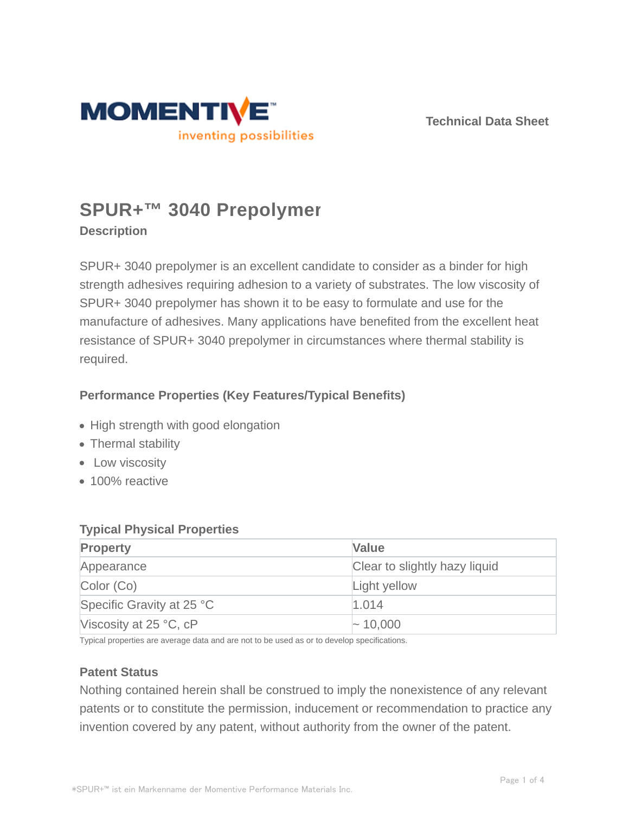

**Technical Data Sheet**

# **SPUR+™ 3040 Prepolymer**

**Description**

SPUR+ 3040 prepolymer is an excellent candidate to consider as a binder for high strength adhesives requiring adhesion to a variety of substrates. The low viscosity of SPUR+ 3040 prepolymer has shown it to be easy to formulate and use for the manufacture of adhesives. Many applications have benefited from the excellent heat resistance of SPUR+ 3040 prepolymer in circumstances where thermal stability is required.

# **Performance Properties (Key Features/Typical Benefits)**

- High strength with good elongation
- Thermal stability
- Low viscosity
- 100% reactive

## **Typical Physical Properties**

| <b>Property</b>           | <b>Value</b>                  |
|---------------------------|-------------------------------|
| Appearance                | Clear to slightly hazy liquid |
| Color (Co)                | Light yellow                  |
| Specific Gravity at 25 °C | 1.014                         |
| Viscosity at $25 °C$ , cP | $\sim$ 10,000                 |

Typical properties are average data and are not to be used as or to develop specifications.

## **Patent Status**

Nothing contained herein shall be construed to imply the nonexistence of any relevant patents or to constitute the permission, inducement or recommendation to practice any invention covered by any patent, without authority from the owner of the patent.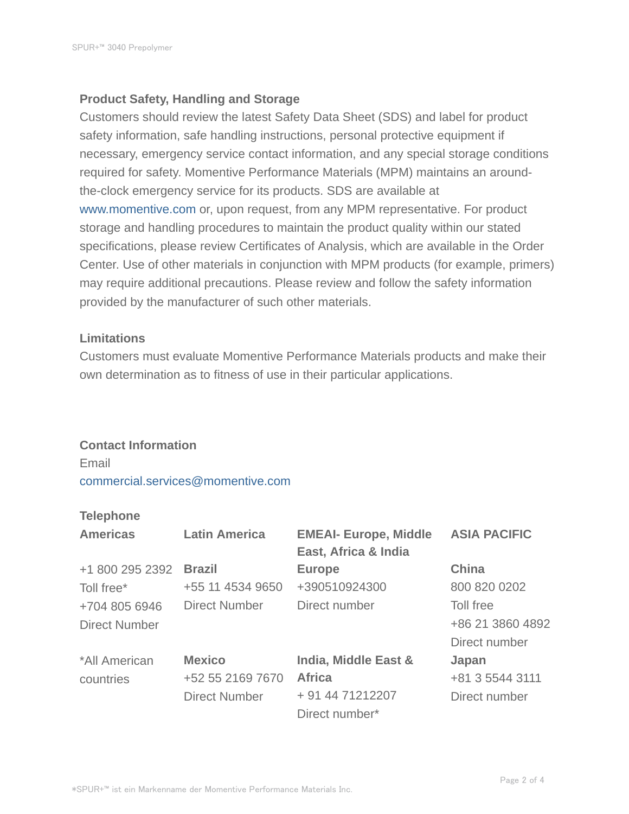## **Product Safety, Handling and Storage**

Customers should review the latest Safety Data Sheet (SDS) and label for product safety information, safe handling instructions, personal protective equipment if necessary, emergency service contact information, and any special storage conditions required for safety. Momentive Performance Materials (MPM) maintains an aroundthe-clock emergency service for its products. SDS are available at www.momentive.com or, upon request, from any MPM representative. For product storage and handling procedures to maintain the product quality within our stated specifications, please review Certificates of Analysis, which are available in the Order Center. Use of other materials in conjunction with MPM products (for example, primers) may require additional precautions. Please review and follow the safety information provided by the manufacturer of such other materials.

## **Limitations**

Customers must evaluate Momentive Performance Materials products and make their own determination as to fitness of use in their particular applications.

#### **Contact Information**

Email commercial.services@momentive.com

## **Telephone**

| <b>Americas</b>      | <b>Latin America</b> | <b>EMEAI- Europe, Middle</b><br>East, Africa & India | <b>ASIA PACIFIC</b> |
|----------------------|----------------------|------------------------------------------------------|---------------------|
| +1 800 295 2392      | <b>Brazil</b>        | <b>Europe</b>                                        | <b>China</b>        |
| Toll free*           | +55 11 4534 9650     | +390510924300                                        | 800 820 0202        |
| +704 805 6946        | <b>Direct Number</b> | Direct number                                        | Toll free           |
| <b>Direct Number</b> |                      |                                                      | +86 21 3860 4892    |
|                      |                      |                                                      | Direct number       |
| *All American        | <b>Mexico</b>        | India, Middle East &                                 | Japan               |
| countries            | +52 55 2169 7670     | <b>Africa</b>                                        | +81 3 5544 3111     |
|                      | <b>Direct Number</b> | + 91 44 71212207                                     | Direct number       |
|                      |                      | Direct number*                                       |                     |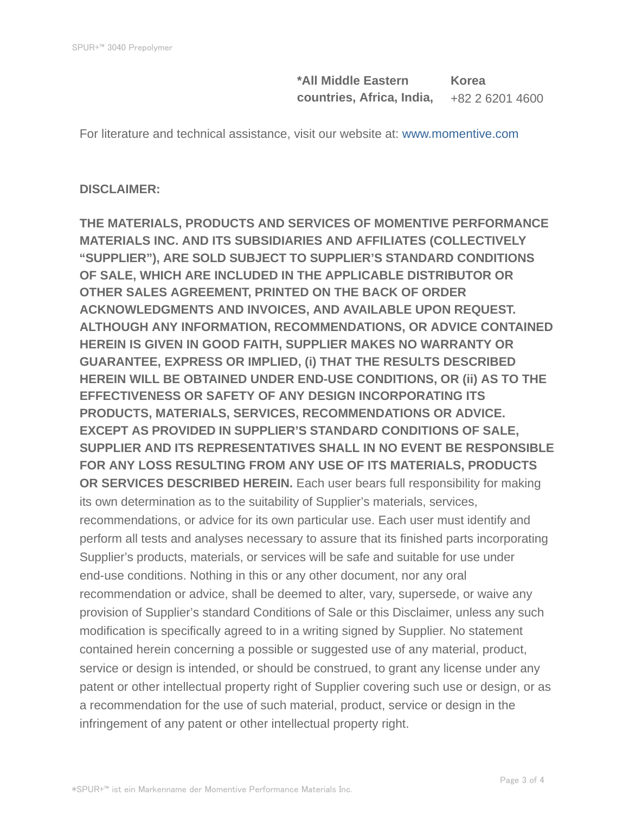**\*All Middle Eastern countries, Africa, India, Korea** +82 2 6201 4600

For literature and technical assistance, visit our website at: www.momentive.com

#### **DISCLAIMER:**

**THE MATERIALS, PRODUCTS AND SERVICES OF MOMENTIVE PERFORMANCE MATERIALS INC. AND ITS SUBSIDIARIES AND AFFILIATES (COLLECTIVELY "SUPPLIER"), ARE SOLD SUBJECT TO SUPPLIER'S STANDARD CONDITIONS OF SALE, WHICH ARE INCLUDED IN THE APPLICABLE DISTRIBUTOR OR OTHER SALES AGREEMENT, PRINTED ON THE BACK OF ORDER ACKNOWLEDGMENTS AND INVOICES, AND AVAILABLE UPON REQUEST. ALTHOUGH ANY INFORMATION, RECOMMENDATIONS, OR ADVICE CONTAINED HEREIN IS GIVEN IN GOOD FAITH, SUPPLIER MAKES NO WARRANTY OR GUARANTEE, EXPRESS OR IMPLIED, (i) THAT THE RESULTS DESCRIBED HEREIN WILL BE OBTAINED UNDER END-USE CONDITIONS, OR (ii) AS TO THE EFFECTIVENESS OR SAFETY OF ANY DESIGN INCORPORATING ITS PRODUCTS, MATERIALS, SERVICES, RECOMMENDATIONS OR ADVICE. EXCEPT AS PROVIDED IN SUPPLIER'S STANDARD CONDITIONS OF SALE, SUPPLIER AND ITS REPRESENTATIVES SHALL IN NO EVENT BE RESPONSIBLE FOR ANY LOSS RESULTING FROM ANY USE OF ITS MATERIALS, PRODUCTS OR SERVICES DESCRIBED HEREIN.** Each user bears full responsibility for making its own determination as to the suitability of Supplier's materials, services, recommendations, or advice for its own particular use. Each user must identify and perform all tests and analyses necessary to assure that its finished parts incorporating Supplier's products, materials, or services will be safe and suitable for use under end-use conditions. Nothing in this or any other document, nor any oral recommendation or advice, shall be deemed to alter, vary, supersede, or waive any provision of Supplier's standard Conditions of Sale or this Disclaimer, unless any such modification is specifically agreed to in a writing signed by Supplier. No statement contained herein concerning a possible or suggested use of any material, product, service or design is intended, or should be construed, to grant any license under any patent or other intellectual property right of Supplier covering such use or design, or as a recommendation for the use of such material, product, service or design in the infringement of any patent or other intellectual property right.